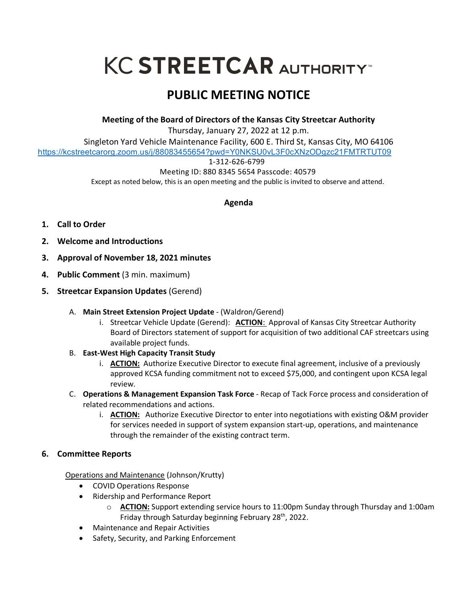# **KC STREETCAR AUTHORITY**

## **PUBLIC MEETING NOTICE**

**Meeting of the Board of Directors of the Kansas City Streetcar Authority**

Thursday, January 27, 2022 at 12 p.m.

Singleton Yard Vehicle Maintenance Facility, 600 E. Third St, Kansas City, MO 64106 https://kcstreetcarorg.zoom.us/j/88083455654?pwd=Y0NKSU0vL3F0cXNzODgzc21FMTRTUT09

#### 1-312-626-6799

Meeting ID: 880 8345 5654 Passcode: 40579

Except as noted below, this is an open meeting and the public is invited to observe and attend.

### **Agenda**

- **1. Call to Order**
- **2. Welcome and Introductions**
- **3. Approval of November 18, 2021 minutes**
- **4. Public Comment** (3 min. maximum)
- **5. Streetcar Expansion Updates** (Gerend)
	- A. **Main Street Extension Project Update** (Waldron/Gerend)
		- i. Streetcar Vehicle Update (Gerend): **ACTION**: Approval of Kansas City Streetcar Authority Board of Directors statement of support for acquisition of two additional CAF streetcars using available project funds.
	- B. **East-West High Capacity Transit Study** 
		- i. **ACTION:** Authorize Executive Director to execute final agreement, inclusive of a previously approved KCSA funding commitment not to exceed \$75,000, and contingent upon KCSA legal review.
	- C. **Operations & Management Expansion Task Force** Recap of Tack Force process and consideration of related recommendations and actions.
		- i. **ACTION:** Authorize Executive Director to enter into negotiations with existing O&M provider for services needed in support of system expansion start-up, operations, and maintenance through the remainder of the existing contract term.
- **6. Committee Reports**

Operations and Maintenance (Johnson/Krutty)

- COVID Operations Response
- Ridership and Performance Report
	- o **ACTION:** Support extending service hours to 11:00pm Sunday through Thursday and 1:00am Friday through Saturday beginning February 28<sup>th</sup>, 2022.
- Maintenance and Repair Activities
- Safety, Security, and Parking Enforcement